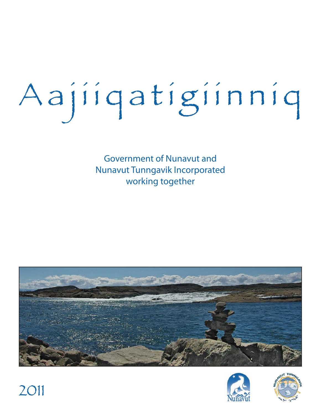# Aajiiqatigiinniq

Government of Nunavut and Nunavut Tunngavik Incorporated working together







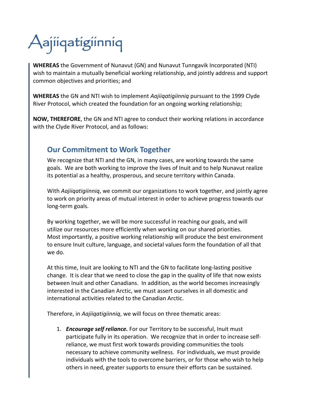# Aajiiqatigiinniq

**WHEREAS** the Government of Nunavut (GN) and Nunavut Tunngavik Incorporated (NTI) wish to maintain a mutually beneficial working relationship, and jointly address and support common objectives and priorities; and

**WHEREAS** the GN and NTI wish to implement *Aajiiqatigiinniq* pursuant to the 1999 Clyde River Protocol, which created the foundation for an ongoing working relationship;

**NOW, THEREFORE**, the GN and NTI agree to conduct their working relations in accordance with the Clyde River Protocol, and as follows:

# **Our Commitment to Work Together**

We recognize that NTI and the GN, in many cases, are working towards the same goals. We are both working to improve the lives of Inuit and to help Nunavut realize its potential as a healthy, prosperous, and secure territory within Canada.

With *Aajiiqatigiinniq*, we commit our organizations to work together, and jointly agree to work on priority areas of mutual interest in order to achieve progress towards our long-term goals.

By working together, we will be more successful in reaching our goals, and will utilize our resources more efficiently when working on our shared priorities. Most importantly, a positive working relationship will produce the best environment to ensure Inuit culture, language, and societal values form the foundation of all that we do.

At this time, Inuit are looking to NTI and the GN to facilitate long-lasting positive change. It is clear that we need to close the gap in the quality of life that now exists between Inuit and other Canadians. In addition, as the world becomes increasingly interested in the Canadian Arctic, we must assert ourselves in all domestic and international activities related to the Canadian Arctic.

Therefore, in *Aajiiqatigiinniq*, we will focus on three thematic areas:

1. *Encourage self reliance.* For our Territory to be successful, Inuit must participate fully in its operation. We recognize that in order to increase selfreliance, we must first work towards providing communities the tools necessary to achieve community wellness. For individuals, we must provide individuals with the tools to overcome barriers, or for those who wish to help others in need, greater supports to ensure their efforts can be sustained.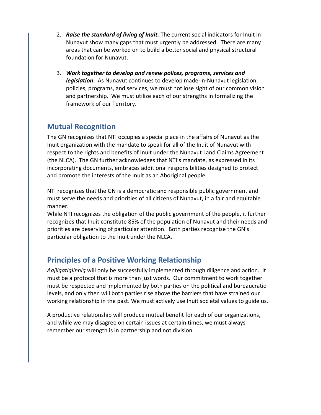- 2. *Raise the standard of living of Inuit.* The current social indicators for Inuit in Nunavut show many gaps that must urgently be addressed. There are many areas that can be worked on to build a better social and physical structural foundation for Nunavut.
- 3. *Work together to develop and renew polices, programs, services and legislation***.** As Nunavut continues to develop made-in-Nunavut legislation, policies, programs, and services, we must not lose sight of our common vision and partnership. We must utilize each of our strengths in formalizing the framework of our Territory.

## **Mutual Recognition**

The GN recognizes that NTI occupies a special place in the affairs of Nunavut as the Inuit organization with the mandate to speak for all of the Inuit of Nunavut with respect to the rights and benefits of Inuit under the Nunavut Land Claims Agreement (the NLCA). The GN further acknowledges that NTI's mandate, as expressed in its incorporating documents, embraces additional responsibilities designed to protect and promote the interests of the Inuit as an Aboriginal people.

NTI recognizes that the GN is a democratic and responsible public government and must serve the needs and priorities of all citizens of Nunavut, in a fair and equitable manner.

While NTI recognizes the obligation of the public government of the people, it further recognizes that Inuit constitute 85% of the population of Nunavut and their needs and priorities are deserving of particular attention. Both parties recognize the GN's particular obligation to the Inuit under the NLCA.

# **Principles of a Positive Working Relationship**

*Aajiiqatigiinniq* will only be successfully implemented through diligence and action. It must be a protocol that is more than just words. Our commitment to work together must be respected and implemented by both parties on the political and bureaucratic levels, and only then will both parties rise above the barriers that have strained our working relationship in the past. We must actively use Inuit societal values to guide us.

A productive relationship will produce mutual benefit for each of our organizations, and while we may disagree on certain issues at certain times, we must always remember our strength is in partnership and not division.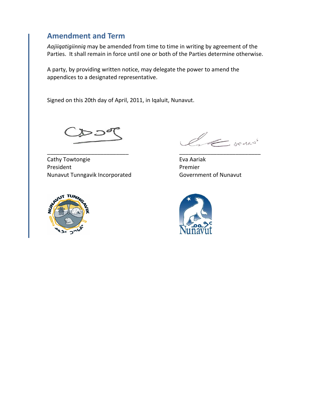## **Amendment and Term**

*Aajiiqatigiinniq* may be amended from time to time in writing by agreement of the Parties. It shall remain in force until one or both of the Parties determine otherwise.

\_\_\_\_\_\_\_\_\_\_\_\_\_\_\_\_\_\_\_\_\_\_\_\_\_\_ \_\_\_\_\_\_\_\_\_\_\_\_\_\_\_\_\_\_\_\_\_\_\_\_\_\_

A party, by providing written notice, may delegate the power to amend the appendices to a designated representative.

Signed on this 20th day of April, 2011, in Iqaluit, Nunavut.

 $\triangleright$   $\supset$ 

Cathy Towtongie **Eva Aariak** Eva Aariak President **Premier** Nunavut Tunngavik Incorporated Government of Nunavut

Come secure



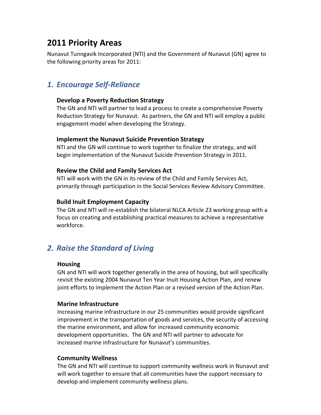# **2011 Priority Areas**

Nunavut Tunngavik Incorporated (NTI) and the Government of Nunavut (GN) agree to the following priority areas for 2011:

# *1. Encourage Self-Reliance*

#### **Develop a Poverty Reduction Strategy**

The GN and NTI will partner to lead a process to create a comprehensive Poverty Reduction Strategy for Nunavut. As partners, the GN and NTI will employ a public engagement model when developing the Strategy.

#### **Implement the Nunavut Suicide Prevention Strategy**

NTI and the GN will continue to work together to finalize the strategy, and will begin implementation of the Nunavut Suicide Prevention Strategy in 2011.

#### **Review the Child and Family Services Act**

NTI will work with the GN in its review of the Child and Family Services Act, primarily through participation in the Social Services Review Advisory Committee.

#### **Build Inuit Employment Capacity**

The GN and NTI will re-establish the bilateral NLCA Article 23 working group with a focus on creating and establishing practical measures to achieve a representative workforce.

# *2. Raise the Standard of Living*

#### **Housing**

GN and NTI will work together generally in the area of housing, but will specifically revisit the existing 2004 Nunavut Ten Year Inuit Housing Action Plan, and renew joint efforts to implement the Action Plan or a revised version of the Action Plan.

#### **Marine Infrastructure**

Increasing marine infrastructure in our 25 communities would provide significant improvement in the transportation of goods and services, the security of accessing the marine environment, and allow for increased community economic development opportunities. The GN and NTI will partner to advocate for increased marine infrastructure for Nunavut's communities.

#### **Community Wellness**

The GN and NTI will continue to support community wellness work in Nunavut and will work together to ensure that all communities have the support necessary to develop and implement community wellness plans.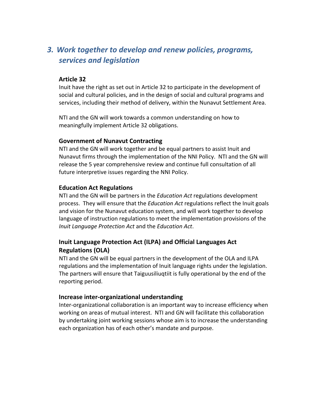# *3. Work together to develop and renew policies, programs, services and legislation*

#### **Article 32**

Inuit have the right as set out in Article 32 to participate in the development of social and cultural policies, and in the design of social and cultural programs and services, including their method of delivery, within the Nunavut Settlement Area.

NTI and the GN will work towards a common understanding on how to meaningfully implement Article 32 obligations.

#### **Government of Nunavut Contracting**

NTI and the GN will work together and be equal partners to assist Inuit and Nunavut firms through the implementation of the NNI Policy. NTI and the GN will release the 5 year comprehensive review and continue full consultation of all future interpretive issues regarding the NNI Policy.

#### **Education Act Regulations**

NTI and the GN will be partners in the *Education Act* regulations development process. They will ensure that the *Education Act* regulations reflect the Inuit goals and vision for the Nunavut education system, and will work together to develop language of instruction regulations to meet the implementation provisions of the *Inuit Language Protection Act* and the *Education Act*.

#### **Inuit Language Protection Act (ILPA) and Official Languages Act Regulations (OLA)**

NTI and the GN will be equal partners in the development of the OLA and ILPA regulations and the implementation of Inuit language rights under the legislation. The partners will ensure that Taiguusiliuqtiit is fully operational by the end of the reporting period.

#### **Increase inter-organizational understanding**

Inter-organizational collaboration is an important way to increase efficiency when working on areas of mutual interest. NTI and GN will facilitate this collaboration by undertaking joint working sessions whose aim is to increase the understanding each organization has of each other's mandate and purpose.